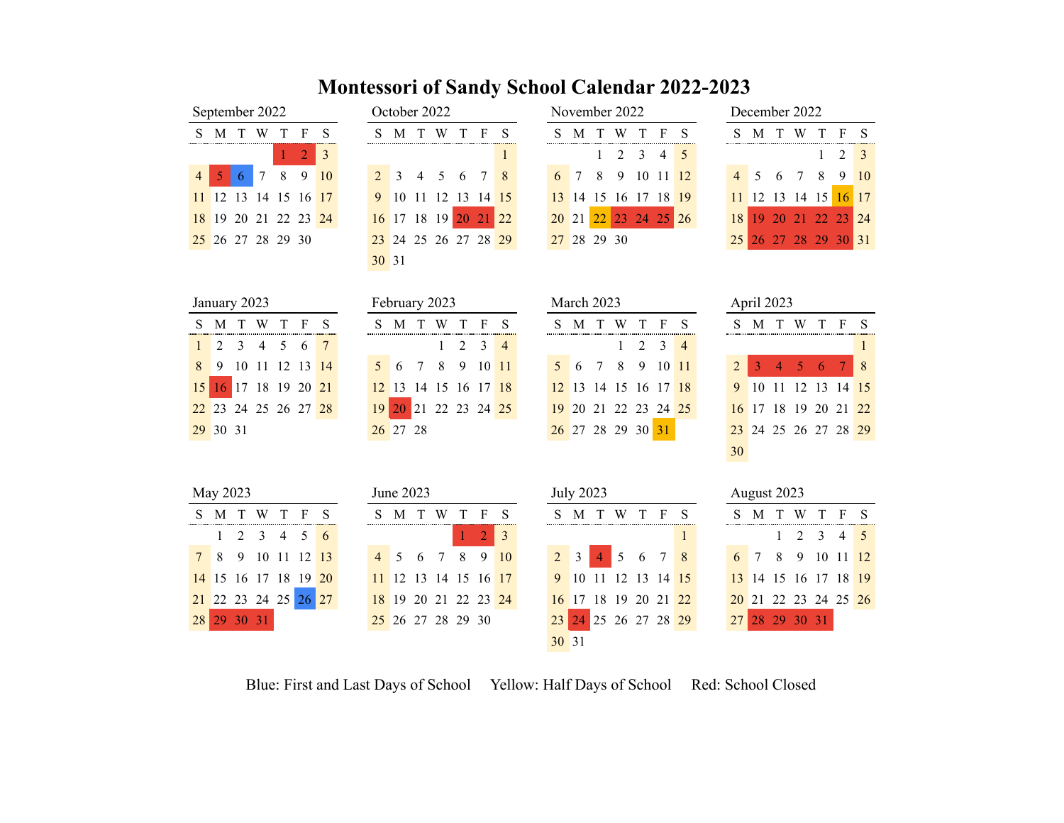## **Montessori of Sandy School Calendar 2022-2023**

|                                                                              |  | September 2022    |  |  |                      |  |  |  |  |  |  |  |  |  |
|------------------------------------------------------------------------------|--|-------------------|--|--|----------------------|--|--|--|--|--|--|--|--|--|
| M T W T F<br>S.<br>S                                                         |  |                   |  |  |                      |  |  |  |  |  |  |  |  |  |
| $\begin{array}{ c c c c c }\n\hline\n1 & 2 & 3\n\end{array}$<br>5 6 7 8 9 10 |  |                   |  |  |                      |  |  |  |  |  |  |  |  |  |
| 4 <sup>1</sup>                                                               |  |                   |  |  |                      |  |  |  |  |  |  |  |  |  |
|                                                                              |  |                   |  |  | 11 12 13 14 15 16 17 |  |  |  |  |  |  |  |  |  |
|                                                                              |  |                   |  |  | 18 19 20 21 22 23 24 |  |  |  |  |  |  |  |  |  |
|                                                                              |  | 25 26 27 28 29 30 |  |  |                      |  |  |  |  |  |  |  |  |  |
|                                                                              |  |                   |  |  |                      |  |  |  |  |  |  |  |  |  |

|       | October 2022 |                      |  |              |
|-------|--------------|----------------------|--|--------------|
|       |              | SMTWTF               |  | S            |
|       |              |                      |  | $\mathbf{1}$ |
|       |              | 2 3 4 5 6 7 8        |  |              |
|       |              | 10 11 12 13 14 15    |  |              |
|       |              | 16 17 18 19 20 21 22 |  |              |
|       |              | 23 24 25 26 27 28 29 |  |              |
| 30 31 |              |                      |  |              |

|    |   | September 2022 |   |                      |    |   |                  | October 2022         |             |       |          |       |             |    | November 2022  |    |       |       |                 |     |   | December 2022     |   |      |                  |
|----|---|----------------|---|----------------------|----|---|------------------|----------------------|-------------|-------|----------|-------|-------------|----|----------------|----|-------|-------|-----------------|-----|---|-------------------|---|------|------------------|
| S. | M |                |   | F                    |    |   | M                |                      |             |       |          |       | M           |    | W              |    | F.    |       |                 | M   |   |                   |   |      | F S              |
|    |   |                |   |                      |    |   |                  |                      |             |       |          |       |             |    | $1 \t2 \t3$    |    | 4 5   |       |                 |     |   |                   |   |      | $2 \overline{3}$ |
| 4  |   | $\tau$         | 8 | -9                   | 10 |   | $2 \overline{3}$ | 4 5                  |             | 6 7 8 |          | 6     |             | -8 | 9              | 10 |       | 11 12 |                 | 4 5 | 6 |                   | 8 | 9 10 |                  |
|    |   |                |   | 11 12 13 14 15 16 17 |    | 9 | 1011             |                      | 12 13 14 15 |       |          |       |             |    | 13 14 15 16 17 |    | 18 19 |       |                 |     |   | 11 12 13 14 15    |   |      | 16 17            |
|    |   |                |   | 18 19 20 21 22 23 24 |    |   |                  | 16 17 18 19          |             |       | 20 21 22 | 20 21 |             |    | 22 23 24 25 26 |    |       |       | 18 <sup>1</sup> |     |   | 19 20 21 22 23 24 |   |      |                  |
|    |   |                |   | 25 26 27 28 29 30    |    |   |                  | 23 24 25 26 27 28 29 |             |       |          |       | 27 28 29 30 |    |                |    |       |       |                 |     |   | 26 27 28 29 30 31 |   |      |                  |

|  |  | December 2022 |                      |             |    |  |
|--|--|---------------|----------------------|-------------|----|--|
|  |  |               | S M T W T F          |             | -S |  |
|  |  |               |                      | $1 \t2 \t3$ |    |  |
|  |  |               | 4 5 6 7 8 9 10       |             |    |  |
|  |  |               | 11 12 13 14 15 16 17 |             |    |  |
|  |  |               | 18 19 20 21 22 23 24 |             |    |  |
|  |  |               | 25 26 27 28 29 30 31 |             |    |  |

|                | January 2023   |    |             |     |                    |    |                | February 2023 |        |             |    |          |                |                |    | March 2023        |                |    |       |                |    | April 2023    |    |                   |    |          |    |
|----------------|----------------|----|-------------|-----|--------------------|----|----------------|---------------|--------|-------------|----|----------|----------------|----------------|----|-------------------|----------------|----|-------|----------------|----|---------------|----|-------------------|----|----------|----|
| S.             | M              |    | W           |     |                    | S  | S              | M             |        | W           |    | F        | S              | S              | M  | Т                 | W              |    | F     | S              | S  | M             |    | W                 |    | F        | S  |
|                | 2              | 3  | 4           | 5   | 6                  | 7  |                |               |        |             | 2  | 3        | $\overline{4}$ |                |    |                   |                | 2  | 3     | $\overline{4}$ |    |               |    |                   |    |          |    |
| 8              | 9              | 10 | 11          |     | 12 13              | 14 | $\mathfrak{S}$ | 6             | $\tau$ | 8           | 9  | 10 11    |                | 5              | 6  | $\tau$            | 8              | 9  | 10 11 |                | 2  | 3             | 4  | 5                 | 6  |          | 8  |
| 15             | 16             |    |             |     | 17 18 19 20 21     |    | 12             | 13            |        | 14 15       |    | 16 17 18 |                | 12             | 13 |                   | 14 15 16 17 18 |    |       |                | 9  | 10            | 11 | 12                | 13 | 14 15    |    |
|                | 22 23          |    | 24 25 26 27 |     |                    | 28 | 19             | 20            | 21     | 22 23 24 25 |    |          |                | 19             | 20 | 21                | 22             | 23 | 24    | 25             | 16 | <sup>17</sup> |    | 18 19             | 20 | 21 22    |    |
|                | 29 30 31       |    |             |     |                    |    |                | 26 27 28      |        |             |    |          |                |                |    | 26 27 28 29 30 31 |                |    |       |                | 23 |               |    | 24 25 26 27 28 29 |    |          |    |
|                |                |    |             |     |                    |    |                |               |        |             |    |          |                |                |    |                   |                |    |       |                | 30 |               |    |                   |    |          |    |
|                |                |    |             |     |                    |    |                |               |        |             |    |          |                |                |    |                   |                |    |       |                |    |               |    |                   |    |          |    |
|                | May 2023       |    |             |     |                    |    |                | June 2023     |        |             |    |          |                |                |    | <b>July 2023</b>  |                |    |       |                |    | August 2023   |    |                   |    |          |    |
| S.             | M              |    | W           |     |                    | S  | S              | М             |        | W           |    |          | S              | S              | M  |                   | W              |    | F     | S              | S  | М             |    | W                 |    |          |    |
|                |                | 2  | 3           | 4   | 5                  | 6  |                |               |        |             |    | 2        | 3              |                |    |                   |                |    |       | 1              |    |               |    | 2                 | 3  | 4        | -5 |
| 7 <sup>7</sup> | 8              | 9  | 10          | -11 | 12                 | 13 | $\overline{4}$ | 5             | 6      | 7           | 8  | 9        | 10             | $\overline{2}$ | 3  | $\overline{4}$    | 5              | 6  | 7     | 8              | 6  | 7             | 8  | 9                 | 10 | 11 12    |    |
|                | 14 15          | 16 | 17          |     | 18 19              | 20 | 11             | 12            | 13     | 14          | 15 | 16 17    |                | 9              | 10 | 11                | 12             | 13 | 14    | 15             | 13 | 14            | 15 | 16                |    | 17 18 19 |    |
|                | 21 22 23 24 25 |    |             |     | $26 \overline{27}$ |    | 18             | 19            | 20     | 21          | 22 | 23       | 24             | 16             | 17 | 18                | 19             | 20 | 21    | 22             | 20 | 21            | 22 | 23                |    | 24 25 26 |    |

29 30 31 25 26 27 28 29 30 23 24 25 26 27 28 29 27 28 29 30 31

Blue: First and Last Days of School Yellow: Half Days of School Red: School Closed

31